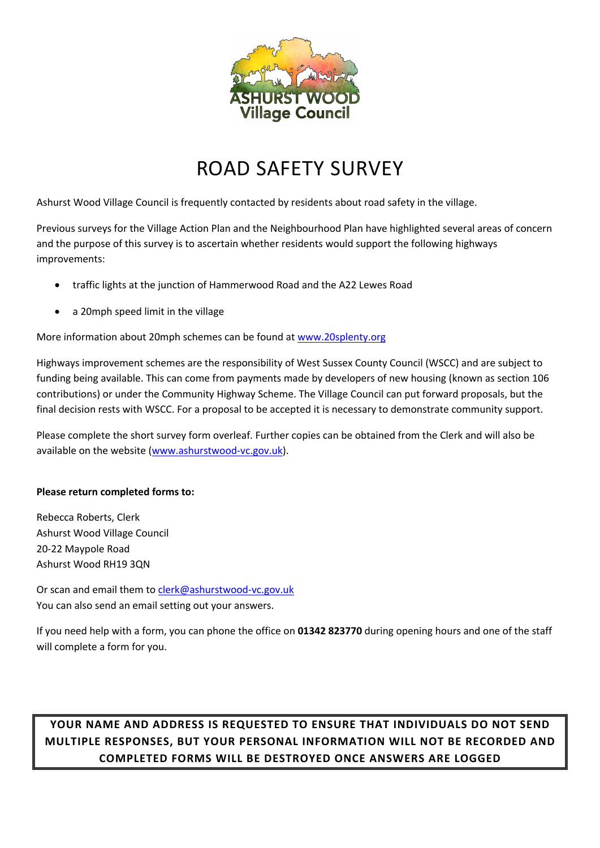

## ROAD SAFETY SURVEY

Ashurst Wood Village Council is frequently contacted by residents about road safety in the village.

Previous surveys for the Village Action Plan and the Neighbourhood Plan have highlighted several areas of concern and the purpose of this survey is to ascertain whether residents would support the following highways improvements:

- traffic lights at the junction of Hammerwood Road and the A22 Lewes Road
- a 20mph speed limit in the village

More information about 20mph schemes can be found at www.20splenty.org

Highways improvement schemes are the responsibility of West Sussex County Council (WSCC) and are subject to funding being available. This can come from payments made by developers of new housing (known as section 106 contributions) or under the Community Highway Scheme. The Village Council can put forward proposals, but the final decision rests with WSCC. For a proposal to be accepted it is necessary to demonstrate community support.

Please complete the short survey form overleaf. Further copies can be obtained from the Clerk and will also be available on the website (www.ashurstwood-vc.gov.uk).

## **Please return completed forms to:**

Rebecca Roberts, Clerk Ashurst Wood Village Council 20-22 Maypole Road Ashurst Wood RH19 3QN

Or scan and email them to clerk@ashurstwood-vc.gov.uk You can also send an email setting out your answers.

If you need help with a form, you can phone the office on **01342 823770** during opening hours and one of the staff will complete a form for you.

## **YOUR NAME AND ADDRESS IS REQUESTED TO ENSURE THAT INDIVIDUALS DO NOT SEND MULTIPLE RESPONSES, BUT YOUR PERSONAL INFORMATION WILL NOT BE RECORDED AND COMPLETED FORMS WILL BE DESTROYED ONCE ANSWERS ARE LOGGED**